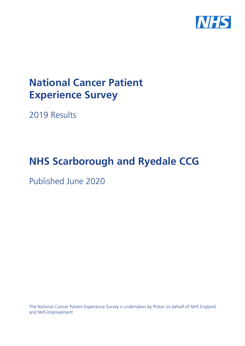

# **National Cancer Patient Experience Survey**

2019 Results

# **NHS Scarborough and Ryedale CCG**

Published June 2020

The National Cancer Patient Experience Survey is undertaken by Picker on behalf of NHS England and NHS Improvement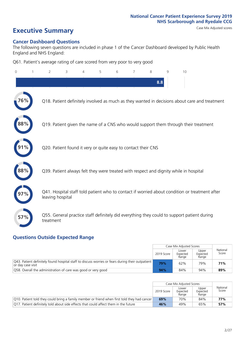# **Executive Summary** Case Mix Adjusted scores

### **Cancer Dashboard Questions**

The following seven questions are included in phase 1 of the Cancer Dashboard developed by Public Health England and NHS England:

Q61. Patient's average rating of care scored from very poor to very good

| $\Omega$ | $\overline{2}$                                                | 3 | 4 | 5 | 6 | 7 | 8   | 9 | 10                                                                                            |
|----------|---------------------------------------------------------------|---|---|---|---|---|-----|---|-----------------------------------------------------------------------------------------------|
|          |                                                               |   |   |   |   |   | 8.8 |   |                                                                                               |
| 76%      |                                                               |   |   |   |   |   |     |   | Q18. Patient definitely involved as much as they wanted in decisions about care and treatment |
| 88%      |                                                               |   |   |   |   |   |     |   | Q19. Patient given the name of a CNS who would support them through their treatment           |
|          | Q20. Patient found it very or quite easy to contact their CNS |   |   |   |   |   |     |   |                                                                                               |
| 88%      |                                                               |   |   |   |   |   |     |   | Q39. Patient always felt they were treated with respect and dignity while in hospital         |
|          | leaving hospital                                              |   |   |   |   |   |     |   | Q41. Hospital staff told patient who to contact if worried about condition or treatment after |
| 57%      | treatment                                                     |   |   |   |   |   |     |   | Q55. General practice staff definitely did everything they could to support patient during    |

### **Questions Outside Expected Range**

|                                                                                                                       |            | Case Mix Adjusted Scores   |                            |                   |
|-----------------------------------------------------------------------------------------------------------------------|------------|----------------------------|----------------------------|-------------------|
|                                                                                                                       | 2019 Score | Lower<br>Expected<br>Range | Upper<br>Expected<br>Range | National<br>Score |
| O43. Patient definitely found hospital staff to discuss worries or fears during their outpatient<br>or day case visit | 79%        | 62%                        | 79%                        | 71%               |
| O58. Overall the administration of care was good or very good                                                         | 94%        | 84%                        | 94%                        | 89%               |

|                                                                                                      | Case Mix Adjusted Scores<br>Lower<br>2019 Score<br>Expected<br>Range<br>70%<br>69%<br>49%<br>46%<br>65% | Upper<br>Expected<br>Range | National<br>Score |     |
|------------------------------------------------------------------------------------------------------|---------------------------------------------------------------------------------------------------------|----------------------------|-------------------|-----|
| $\vert$ Q10. Patient told they could bring a family member or friend when first told they had cancer |                                                                                                         |                            | 84%               | 77% |
| Q17. Patient definitely told about side effects that could affect them in the future                 |                                                                                                         |                            |                   | 57% |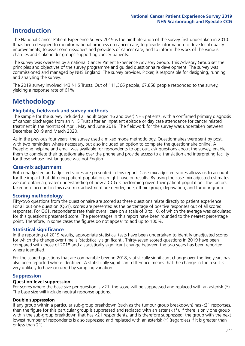# **Introduction**

The National Cancer Patient Experience Survey 2019 is the ninth iteration of the survey first undertaken in 2010. It has been designed to monitor national progress on cancer care; to provide information to drive local quality improvements; to assist commissioners and providers of cancer care; and to inform the work of the various charities and stakeholder groups supporting cancer patients.

The survey was overseen by a national Cancer Patient Experience Advisory Group. This Advisory Group set the principles and objectives of the survey programme and guided questionnaire development. The survey was commissioned and managed by NHS England. The survey provider, Picker, is responsible for designing, running and analysing the survey.

The 2019 survey involved 143 NHS Trusts. Out of 111,366 people, 67,858 people responded to the survey, yielding a response rate of 61%.

# **Methodology**

### **Eligibility, eldwork and survey methods**

The sample for the survey included all adult (aged 16 and over) NHS patients, with a confirmed primary diagnosis of cancer, discharged from an NHS Trust after an inpatient episode or day case attendance for cancer related treatment in the months of April, May and June 2019. The fieldwork for the survey was undertaken between December 2019 and March 2020.

As in the previous four years, the survey used a mixed mode methodology. Questionnaires were sent by post, with two reminders where necessary, but also included an option to complete the questionnaire online. A Freephone helpline and email was available for respondents to opt out, ask questions about the survey, enable them to complete their questionnaire over the phone and provide access to a translation and interpreting facility for those whose first language was not English.

### **Case-mix adjustment**

Both unadjusted and adjusted scores are presented in this report. Case-mix adjusted scores allows us to account for the impact that differing patient populations might have on results. By using the case-mix adjusted estimates we can obtain a greater understanding of how a CCG is performing given their patient population. The factors taken into account in this case-mix adjustment are gender, age, ethnic group, deprivation, and tumour group.

### **Scoring methodology**

Fifty-two questions from the questionnaire are scored as these questions relate directly to patient experience. For all but one question (Q61), scores are presented as the percentage of positive responses out of all scored responses. For Q61, respondents rate their overall care on a scale of 0 to 10, of which the average was calculated for this question's presented score. The percentages in this report have been rounded to the nearest percentage point. Therefore, in some cases the figures do not appear to add up to 100%.

### **Statistical significance**

In the reporting of 2019 results, appropriate statistical tests have been undertaken to identify unadjusted scores for which the change over time is 'statistically significant'. Thirty-seven scored questions in 2019 have been compared with those of 2018 and a statistically significant change between the two years has been reported where identified.

For the scored questions that are comparable beyond 2018, statistically significant change over the five years has also been reported where identified. A statistically significant difference means that the change in the result is very unlikely to have occurred by sampling variation.

### **Suppression**

### **Question-level suppression**

For scores where the base size per question is  $<$ 21, the score will be suppressed and replaced with an asterisk (\*). The base size will include neutral response options.

### **Double suppression**

If any group within a particular sub-group breakdown (such as the tumour group breakdown) has <21 responses, then the figure for this particular group is suppressed and replaced with an asterisk (\*). If there is only one group within the sub-group breakdown that has <21 respondents, and is therefore suppressed, the group with the next lowest number of respondents is also supressed and replaced with an asterisk (\*) (regardless if it is greater than or less than 21).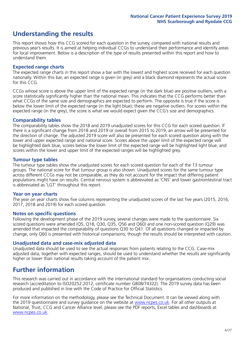# **Understanding the results**

This report shows how this CCG scored for each question in the survey, compared with national results and previous year's results. It is aimed at helping individual CCGs to understand their performance and identify areas for local improvement. Below is a description of the type of results presented within this report and how to understand them.

### **Expected range charts**

The expected range charts in this report show a bar with the lowest and highest score received for each question nationally. Within this bar, an expected range is given (in grey) and a black diamond represents the actual score for this CCG.

CCGs whose score is above the upper limit of the expected range (in the dark blue) are positive outliers, with a score statistically significantly higher than the national mean. This indicates that the CCG performs better than what CCGs of the same size and demographics are expected to perform. The opposite is true if the score is below the lower limit of the expected range (in the light blue); these are negative outliers. For scores within the expected range (in the grey), the score is what we would expect given the CCG's size and demographics.

### **Comparability tables**

The comparability tables show the 2018 and 2019 unadjusted scores for this CCG for each scored question. If there is a significant change from 2018 and 2019 or overall from 2015 to 2019, an arrow will be presented for the direction of change. The adjusted 2019 score will also be presented for each scored question along with the lower and upper expected range and national score. Scores above the upper limit of the expected range will be highlighted dark blue, scores below the lower limit of the expected range will be highlighted light blue, and scores within the lower and upper limit of the expected ranges will be highlighted grey.

### **Tumour type tables**

The tumour type tables show the unadjusted scores for each scored question for each of the 13 tumour groups. The national score for that tumour group is also shown. Unadjusted scores for the same tumour type across different CCGs may not be comparable, as they do not account for the impact that differing patient populations might have on results. Central nervous system is abbreviated as 'CNS' and lower gastrointestinal tract is abbreviated as 'LGT' throughout this report.

### **Year on year charts**

The year on year charts show five columns representing the unadjusted scores of the last five years (2015, 2016, 2017, 2018 and 2019) for each scored question.

### **Notes on specific questions**

Following the development phase of the 2019 survey, several changes were made to the questionnaire. Six scored questions were amended (Q5, Q18, Q30, Q35, Q56 and Q60) and one non-scored question (Q29) was amended that impacted the comparability of questions Q30 to Q41. Of all questions changed or impacted by change, only Q60 is presented with historical comparisons; though the results should be interpreted with caution.

### **Unadjusted data and case-mix adjusted data**

Unadjusted data should be used to see the actual responses from patients relating to the CCG. Case-mix adjusted data, together with expected ranges, should be used to understand whether the results are significantly higher or lower than national results taking account of the patient mix.

### **Further information**

This research was carried out in accordance with the international standard for organisations conducting social research (accreditation to ISO20252:2012; certificate number GB08/74322). The 2019 survey data has been produced and published in line with the Code of Practice for Official Statistics.

For more information on the methodology, please see the Technical Document. It can be viewed along with the 2019 questionnaire and survey quidance on the website at [www.ncpes.co.uk](https://www.ncpes.co.uk/supporting-documents). For all other outputs at National, Trust, CCG and Cancer Alliance level, please see the PDF reports, Excel tables and dashboards at [www.ncpes.co.uk.](https://www.ncpes.co.uk/current-results)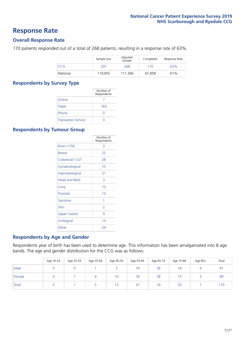### **Response Rate**

### **Overall Response Rate**

170 patients responded out of a total of 268 patients, resulting in a response rate of 63%.

|          | Sample Size | Adjusted<br>Sample | Completed | Response Rate |
|----------|-------------|--------------------|-----------|---------------|
| CCG      | 291         | 268                | 170       | 63%           |
| National | 119,855     | 111.366            | 67,858    | 61%           |

### **Respondents by Survey Type**

|                            | Number of<br>Respondents |
|----------------------------|--------------------------|
| Online                     |                          |
| Paper                      | 163                      |
| Phone                      | 0                        |
| <b>Translation Service</b> |                          |

### **Respondents by Tumour Group**

|                      | Number of<br>Respondents |
|----------------------|--------------------------|
| Brain / CNS          | 3                        |
| <b>Breast</b>        | 22                       |
| Colorectal / LGT     | 28                       |
| Gynaecological       | 10                       |
| Haematological       | 31                       |
| <b>Head and Neck</b> | 3                        |
| Lung                 | 10                       |
| Prostate             | 1 <sub>3</sub>           |
| Sarcoma              | 1                        |
| Skin                 | 2                        |
| <b>Upper Gastro</b>  | 9                        |
| Urological           | 14                       |
| Other                | 24                       |

### **Respondents by Age and Gender**

Respondents year of birth has been used to determine age. This information has been amalgamated into 8 age bands. The age and gender distribution for the CCG was as follows:

|        | Age 16-24 | Age 25-34 | Age 35-44 | Age 45-54 | Age 55-64 | Age 65-74 | Age 75-84 | Age 85+ | Total          |
|--------|-----------|-----------|-----------|-----------|-----------|-----------|-----------|---------|----------------|
| Male   |           |           |           |           | 19        | 36        | 18        |         | 8 <sup>1</sup> |
| Female |           |           |           | 10        | 18        | 38        |           |         | 89             |
| Total  |           |           |           | 13        | 37        | 74        | 33        |         | 170            |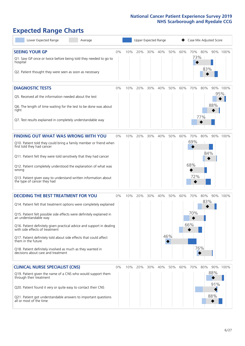# **Expected Range Charts**

| Lower Expected Range<br>Average                                                                                                                                                                                                                                                                                                                                                                                                                                                                                             |       |     | Upper Expected Range |     |     |            |     | Case Mix Adjusted Score  |            |                          |          |
|-----------------------------------------------------------------------------------------------------------------------------------------------------------------------------------------------------------------------------------------------------------------------------------------------------------------------------------------------------------------------------------------------------------------------------------------------------------------------------------------------------------------------------|-------|-----|----------------------|-----|-----|------------|-----|--------------------------|------------|--------------------------|----------|
| <b>SEEING YOUR GP</b><br>Q1. Saw GP once or twice before being told they needed to go to<br>hospital<br>Q2. Patient thought they were seen as soon as necessary                                                                                                                                                                                                                                                                                                                                                             | 0%    | 10% | 20%                  | 30% | 40% | 50%        | 60% | 70%<br>73%               | 80%<br>83% |                          | 90% 100% |
| <b>DIAGNOSTIC TESTS</b><br>Q5. Received all the information needed about the test<br>Q6. The length of time waiting for the test to be done was about<br>right<br>Q7. Test results explained in completely understandable way                                                                                                                                                                                                                                                                                               | $0\%$ | 10% | 20%                  | 30% | 40% | 50%        | 60% | 70%                      | 80%<br>77% | 95%<br>88%               | 90% 100% |
| <b>FINDING OUT WHAT WAS WRONG WITH YOU</b><br>Q10. Patient told they could bring a family member or friend when<br>first told they had cancer<br>Q11. Patient felt they were told sensitively that they had cancer<br>Q12. Patient completely understood the explanation of what was<br>wrong<br>Q13. Patient given easy to understand written information about<br>the type of cancer they had                                                                                                                             | $0\%$ | 10% | 20%                  | 30% | 40% | 50%        | 60% | 70%<br>69%<br>68%<br>72% | 80%<br>84% |                          | 90% 100% |
| <b>DECIDING THE BEST TREATMENT FOR YOU</b><br>Q14. Patient felt that treatment options were completely explained<br>Q15. Patient felt possible side effects were definitely explained in<br>an understandable way<br>Q16. Patient definitely given practical advice and support in dealing<br>with side effects of treatment<br>Q17. Patient definitely told about side effects that could affect<br>them in the future<br>Q18. Patient definitely involved as much as they wanted in<br>decisions about care and treatment | $0\%$ | 10% | 20%                  | 30% | 40% | 50%<br>46% | 60% | 70%<br>70%<br>66%<br>76% | 80%<br>83% |                          | 90% 100% |
| <b>CLINICAL NURSE SPECIALIST (CNS)</b><br>Q19. Patient given the name of a CNS who would support them<br>through their treatment<br>Q20. Patient found it very or quite easy to contact their CNS<br>Q21. Patient got understandable answers to important questions<br>all or most of the time                                                                                                                                                                                                                              | $0\%$ | 10% | 20%                  | 30% | 40% | 50%        | 60% | 70%                      | 80%        | 90%<br>88%<br>91%<br>88% | 100%     |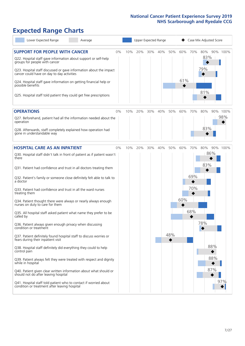# **Expected Range Charts**

| Lower Expected Range<br>Average                                                                                                                                                                                 |    |     |     | Upper Expected Range |     |     |     |     | Case Mix Adjusted Score |          |
|-----------------------------------------------------------------------------------------------------------------------------------------------------------------------------------------------------------------|----|-----|-----|----------------------|-----|-----|-----|-----|-------------------------|----------|
| <b>SUPPORT FOR PEOPLE WITH CANCER</b><br>Q22. Hospital staff gave information about support or self-help<br>groups for people with cancer<br>Q23. Hospital staff discussed or gave information about the impact | 0% | 10% | 20% | 30%                  | 40% | 50% | 60% | 70% | 80%<br>83%<br>79%       | 90% 100% |
| cancer could have on day to day activities<br>Q24. Hospital staff gave information on getting financial help or<br>possible benefits                                                                            |    |     |     |                      |     |     | 61% |     | 81%                     |          |
| Q25. Hospital staff told patient they could get free prescriptions                                                                                                                                              |    |     |     |                      |     |     |     |     |                         |          |
| <b>OPERATIONS</b>                                                                                                                                                                                               | 0% | 10% | 20% | 30%                  | 40% | 50% | 60% | 70% | 80%                     | 90% 100% |
| Q27. Beforehand, patient had all the information needed about the<br>operation                                                                                                                                  |    |     |     |                      |     |     |     |     |                         | 98%      |
| Q28. Afterwards, staff completely explained how operation had<br>gone in understandable way                                                                                                                     |    |     |     |                      |     |     |     |     | 83%                     |          |
| <b>HOSPITAL CARE AS AN INPATIENT</b>                                                                                                                                                                            | 0% | 10% | 20% | 30%                  | 40% | 50% | 60% | 70% | 80%                     | 90% 100% |
| Q30. Hospital staff didn't talk in front of patient as if patient wasn't<br>there                                                                                                                               |    |     |     |                      |     |     |     |     | 86%<br>83%              |          |
| Q31. Patient had confidence and trust in all doctors treating them                                                                                                                                              |    |     |     |                      |     |     |     |     |                         |          |
| Q32. Patient's family or someone close definitely felt able to talk to<br>a doctor                                                                                                                              |    |     |     |                      |     |     |     | 69% |                         |          |
| Q33. Patient had confidence and trust in all the ward nurses<br>treating them                                                                                                                                   |    |     |     |                      |     |     |     | 70% |                         |          |
| Q34. Patient thought there were always or nearly always enough<br>nurses on duty to care for them                                                                                                               |    |     |     |                      |     |     | 60% |     |                         |          |
| Q35. All hospital staff asked patient what name they prefer to be<br>called by                                                                                                                                  |    |     |     |                      |     |     |     | 68% |                         |          |
| Q36. Patient always given enough privacy when discussing<br>condition or treatment                                                                                                                              |    |     |     |                      |     |     |     |     | 78%                     |          |
| Q37. Patient definitely found hospital staff to discuss worries or<br>fears during their inpatient visit                                                                                                        |    |     |     |                      |     | 48% |     |     |                         |          |
| Q38. Hospital staff definitely did everything they could to help<br>control pain                                                                                                                                |    |     |     |                      |     |     |     |     | 88%                     |          |
| Q39. Patient always felt they were treated with respect and dignity<br>while in hospital                                                                                                                        |    |     |     |                      |     |     |     |     | 88%                     |          |
| Q40. Patient given clear written information about what should or<br>should not do after leaving hospital                                                                                                       |    |     |     |                      |     |     |     |     | 87%                     |          |
| Q41. Hospital staff told patient who to contact if worried about<br>condition or treatment after leaving hospital                                                                                               |    |     |     |                      |     |     |     |     |                         | 97%      |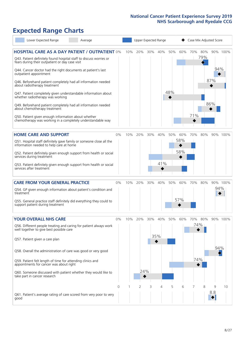# **Expected Range Charts**

|           | Lower Expected Range                                                                                            | Average                                                                                                                         |          |     | Upper Expected Range |     |     |     |     | Case Mix Adjusted Score |            |          |          |
|-----------|-----------------------------------------------------------------------------------------------------------------|---------------------------------------------------------------------------------------------------------------------------------|----------|-----|----------------------|-----|-----|-----|-----|-------------------------|------------|----------|----------|
|           | fears during their outpatient or day case visit<br>Q44. Cancer doctor had the right documents at patient's last | <b>HOSPITAL CARE AS A DAY PATIENT / OUTPATIENT 0%</b><br>Q43. Patient definitely found hospital staff to discuss worries or     |          | 10% | 20%                  | 30% | 40% | 50% | 60% | 70%                     | 80%<br>79% | 94%      | 90% 100% |
|           | outpatient appointment<br>about radiotherapy treatment                                                          | Q46. Beforehand patient completely had all information needed                                                                   |          |     |                      |     |     |     |     |                         |            | 87%      |          |
|           | whether radiotherapy was working                                                                                | Q47. Patient completely given understandable information about<br>Q49. Beforehand patient completely had all information needed |          |     |                      |     |     | 48% |     |                         |            | 86%      |          |
|           | about chemotherapy treatment<br>Q50. Patient given enough information about whether                             | chemotherapy was working in a completely understandable way                                                                     |          |     |                      |     |     |     |     | 71%                     |            |          |          |
|           | <b>HOME CARE AND SUPPORT</b>                                                                                    |                                                                                                                                 | 0%       | 10% | 20%                  | 30% | 40% | 50% | 60% | 70%                     | 80%        |          | 90% 100% |
|           | information needed to help care at home                                                                         | Q51. Hospital staff definitely gave family or someone close all the                                                             |          |     |                      |     |     |     | 58% |                         |            |          |          |
|           | services during treatment                                                                                       | Q52. Patient definitely given enough support from health or social                                                              |          |     |                      |     |     |     | 58% |                         |            |          |          |
|           | services after treatment                                                                                        | Q53. Patient definitely given enough support from health or social                                                              |          |     |                      |     | 41% |     |     |                         |            |          |          |
|           | <b>CARE FROM YOUR GENERAL PRACTICE</b>                                                                          |                                                                                                                                 | 0%       | 10% | 20%                  | 30% | 40% | 50% | 60% | 70%                     | 80%        |          | 90% 100% |
| treatment |                                                                                                                 | Q54. GP given enough information about patient's condition and                                                                  |          |     |                      |     |     |     |     |                         |            | 94%      |          |
|           | support patient during treatment                                                                                | Q55. General practice staff definitely did everything they could to                                                             |          |     |                      |     |     |     | 57% |                         |            |          |          |
|           | <b>YOUR OVERALL NHS CARE</b>                                                                                    |                                                                                                                                 | $0\%$    | 10% | 20%                  | 30% | 40% | 50% | 60% | 70%                     | 80%        |          | 90% 100% |
|           | well together to give best possible care                                                                        | Q56. Different people treating and caring for patient always work                                                               |          |     |                      |     | 35% |     |     | 74%                     |            |          |          |
|           | Q57. Patient given a care plan                                                                                  |                                                                                                                                 |          |     |                      |     |     |     |     |                         |            | 94%      |          |
|           |                                                                                                                 | Q58. Overall the administration of care was good or very good                                                                   |          |     |                      |     |     |     |     |                         |            |          |          |
|           | Q59. Patient felt length of time for attending clinics and<br>appointments for cancer was about right           |                                                                                                                                 |          |     |                      |     |     |     |     | 74%                     |            |          |          |
|           | take part in cancer research                                                                                    | Q60. Someone discussed with patient whether they would like to                                                                  |          |     | 24%                  |     |     |     |     |                         |            |          |          |
|           |                                                                                                                 |                                                                                                                                 | $\Omega$ |     | $\overline{2}$       | 3   | 4   | 5   | 6   | 7                       | 8          | 9<br>8.8 | 10       |
| good      |                                                                                                                 | Q61. Patient's average rating of care scored from very poor to very                                                             |          |     |                      |     |     |     |     |                         |            |          |          |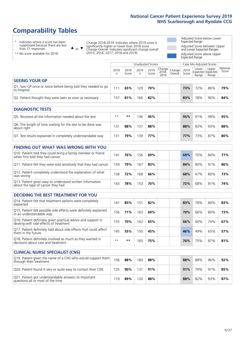# **Comparability Tables**

\* Indicates where a score has been suppressed because there are less than 21 responses.

\*\* No score available for 2018.

 $\triangle$  or  $\nabla$ 

Change 2018-2019: Indicates where 2019 score is significantly higher or lower than 2018 score Change Overall: Indicates significant change overall (2015, 2016, 2017, 2018 and 2019).

Adjusted Score below Lower Expected Range Adjusted Score between Upper and Lower Expected Ranges Adjusted Score above Upper Expected Range

|                                                                             |           |               |           | Unadjusted Scores |                                                  |         |               |                | Case Mix Adjusted Scores            |                   |
|-----------------------------------------------------------------------------|-----------|---------------|-----------|-------------------|--------------------------------------------------|---------|---------------|----------------|-------------------------------------|-------------------|
|                                                                             | 2018<br>n | 2018<br>Score | 2019<br>n | 2019<br>Score     | $\sqrt{(\text{Change})}$ Change<br>2018-<br>2019 | Overall | 2019<br>Score | Lower<br>Range | Upper<br>Expected Expected<br>Range | National<br>Score |
| <b>SEEING YOUR GP</b>                                                       |           |               |           |                   |                                                  |         |               |                |                                     |                   |
| Q1. Saw GP once or twice before being told they needed to go<br>to hospital | 111       | 65%           | 129       | 70%               |                                                  |         | 73%           | 72%            | 86%                                 | 79%               |
| Q2. Patient thought they were seen as soon as necessary                     | 157       | 81%           | 166       | 82%               |                                                  |         | 83%           | 78%            | 90%                                 | 84%               |
| <b>DIAGNOSTIC TESTS</b>                                                     |           |               |           |                   |                                                  |         |               |                |                                     |                   |

| <b>UIAGINUSTIC IESTS</b>                                                  |      |     |    |     |  |  |            |     |     |     |  |  |
|---------------------------------------------------------------------------|------|-----|----|-----|--|--|------------|-----|-----|-----|--|--|
| O5. Received all the information needed about the test                    | $**$ | **  | 36 | 95% |  |  | 95%        | 91% | 99% | 95% |  |  |
| Q6. The length of time waiting for the test to be done was<br>about right | 131  | 88% | 37 | 88% |  |  | 88%        | 83% | 93% | 88% |  |  |
| Q7. Test results explained in completely understandable way               | 131  | 79% | 39 | 77% |  |  | <b>77%</b> | 73% | 87% | 80% |  |  |

| <b>FINDING OUT WHAT WAS WRONG WITH YOU</b>                                                      |     |     |     |     |     |     |     |     |
|-------------------------------------------------------------------------------------------------|-----|-----|-----|-----|-----|-----|-----|-----|
| Q10. Patient told they could bring a family member or friend<br>when first told they had cancer | 141 | 76% | 156 | 69% | 69% | 70% | 84% | 77% |
| Q11. Patient felt they were told sensitively that they had cancer                               | 159 | 79% | 167 | 83% | 84% | 80% | 91% | 86% |
| Q12. Patient completely understood the explanation of what<br>was wrong                         | 158 | 72% | 168 | 66% | 68% | 67% | 80% | 73% |
| Q13. Patient given easy to understand written information<br>about the type of cancer they had  | 143 | 78% | 153 | 70% | 72% | 68% | 81% | 74% |

| <b>DECIDING THE BEST TREATMENT FOR YOU</b>                                                              |      |      |     |     |     |     |     |     |
|---------------------------------------------------------------------------------------------------------|------|------|-----|-----|-----|-----|-----|-----|
| Q14. Patient felt that treatment options were completely<br>explained                                   | 141  | 85%  | 151 | 82% | 83% | 78% | 89% | 83% |
| Q15. Patient felt possible side effects were definitely explained<br>in an understandable way           | 156  | 71%  | 163 | 69% | 70% | 66% | 80% | 73% |
| Q16. Patient definitely given practical advice and support in<br>dealing with side effects of treatment | 155  | 70%  | 162 | 65% | 66% | 60% | 74% | 67% |
| Q17. Patient definitely told about side effects that could affect<br>them in the future                 | 145  | 55%  | 150 | 45% | 46% | 49% | 65% | 57% |
| Q18. Patient definitely involved as much as they wanted in<br>decisions about care and treatment        | $**$ | $**$ | 165 | 75% | 76% | 75% | 87% | 81% |

| <b>CLINICAL NURSE SPECIALIST (CNS)</b>                                                    |     |        |     |     |  |     |     |     |     |
|-------------------------------------------------------------------------------------------|-----|--------|-----|-----|--|-----|-----|-----|-----|
| Q19. Patient given the name of a CNS who would support them<br>through their treatment    | 156 | 88%    | 160 | 88% |  | 88% | 88% | 96% | 92% |
| Q20. Patient found it very or quite easy to contact their CNS                             | 125 | $90\%$ | 131 | 91% |  | 91% | 79% | 91% | 85% |
| Q21. Patient got understandable answers to important<br>questions all or most of the time | -19 | 89%    | 120 | 88% |  | 88% | 82% | 93% | 87% |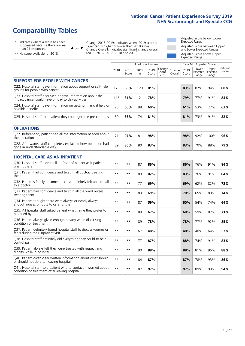# **Comparability Tables**

\* Indicates where a score has been suppressed because there are less than 21 responses.

\*\* No score available for 2018.

 $\triangle$  or  $\nabla$ 

Change 2018-2019: Indicates where 2019 score is significantly higher or lower than 2018 score Change Overall: Indicates significant change overall (2015, 2016, 2017, 2018 and 2019).

Adjusted Score below Lower Expected Range Adjusted Score between Upper and Lower Expected Ranges Adjusted Score above Upper Expected Range

|                                                                                                                   |              |               | <b>Unadjusted Scores</b> |               |                         |                   |               | Case Mix Adjusted Scores            |                |                   |
|-------------------------------------------------------------------------------------------------------------------|--------------|---------------|--------------------------|---------------|-------------------------|-------------------|---------------|-------------------------------------|----------------|-------------------|
|                                                                                                                   | 2018<br>n    | 2018<br>Score | 2019<br>n.               | 2019<br>Score | Change<br>2018-<br>2019 | Change<br>Overall | 2019<br>Score | Lower<br>Expected Expected<br>Range | Upper<br>Range | National<br>Score |
| <b>SUPPORT FOR PEOPLE WITH CANCER</b>                                                                             |              |               |                          |               |                         |                   |               |                                     |                |                   |
| Q22. Hospital staff gave information about support or self-help<br>groups for people with cancer                  | 126          | 80%           | 129                      | 81%           |                         |                   | 83%           | 82%                                 | 94%            | 88%               |
| Q23. Hospital staff discussed or gave information about the<br>impact cancer could have on day to day activities  | 116          | 81%           | 121                      | 78%           |                         |                   | 79%           | 77%                                 | 91%            | 84%               |
| Q24. Hospital staff gave information on getting financial help or<br>possible benefits                            | 95           | 60%           | 98                       | 60%           |                         |                   | 61%           | 53%                                 | 72%            | 63%               |
| Q25. Hospital staff told patient they could get free prescriptions                                                | 80           | 86%           | 74                       | 81%           |                         |                   | 81%           | 73%                                 | 91%            | 82%               |
| <b>OPERATIONS</b>                                                                                                 |              |               |                          |               |                         |                   |               |                                     |                |                   |
| Q27. Beforehand, patient had all the information needed about<br>the operation                                    | 71           | 97%           | 81                       | 98%           |                         |                   | 98%           | 92%                                 | 100%           | 96%               |
| Q28. Afterwards, staff completely explained how operation had<br>gone in understandable way                       | 69           | 86%           | 80                       | 83%           |                         |                   | 83%           | 70%                                 | 88%            | 79%               |
| <b>HOSPITAL CARE AS AN INPATIENT</b>                                                                              |              |               |                          |               |                         |                   |               |                                     |                |                   |
| Q30. Hospital staff didn't talk in front of patient as if patient<br>wasn't there                                 | $**$         | **            | 87                       | 86%           |                         |                   | 86%           | 76%                                 | 91%            | 84%               |
| Q31. Patient had confidence and trust in all doctors treating<br>them                                             | $**$         | **            | 89                       | 82%           |                         |                   | 83%           | 76%                                 | 91%            | 84%               |
| Q32. Patient's family or someone close definitely felt able to talk<br>to a doctor                                | $* *$        | **            | 77                       | 69%           |                         |                   | 69%           | 62%                                 | 82%            | 72%               |
| O33. Patient had confidence and trust in all the ward nurses<br>treating them                                     | $**$         | **            | 89                       | 69%           |                         |                   | 70%           | 65%                                 | 83%            | 74%               |
| Q34. Patient thought there were always or nearly always<br>enough nurses on duty to care for them                 | $\star\star$ | **            | 87                       | 59%           |                         |                   | 60%           | 54%                                 | 74%            | 64%               |
| Q35. All hospital staff asked patient what name they prefer to<br>be called by                                    | $* *$        | **            | 89                       | 67%           |                         |                   | 68%           | 59%                                 | 82%            | 71%               |
| Q36. Patient always given enough privacy when discussing<br>condition or treatment                                | $**$         | $***$         | 89                       | 78%           |                         |                   | 78%           | 77%                                 | 92%            | 85%               |
| Q37. Patient definitely found hospital staff to discuss worries or<br>fears during their inpatient visit          | $**$         | **            | 67                       | 48%           |                         |                   | 48%           | 40%                                 | 64%            | 52%               |
| Q38. Hospital staff definitely did everything they could to help<br>control pain                                  | $\star\star$ | $***$         | 77                       | 87%           |                         |                   | 88%           | 74%                                 | 91%            | 83%               |
| Q39. Patient always felt they were treated with respect and<br>dignity while in hospital                          | $***$        | **            | 90                       | 88%           |                         |                   | 88%           | 81%                                 | 95%            | 88%               |
| Q40. Patient given clear written information about what should<br>or should not do after leaving hospital         | $**$         | **            | 84                       | 87%           |                         |                   | 87%           | 78%                                 | 93%            | 86%               |
| Q41. Hospital staff told patient who to contact if worried about<br>condition or treatment after leaving hospital | $**$         | **            | 87                       | 97%           |                         |                   | 97%           | 89%                                 | 99%            | 94%               |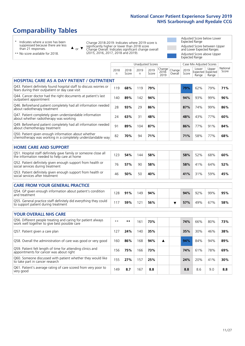# **Comparability Tables**

\* Indicates where a score has been suppressed because there are less than 21 responses.

\*\* No score available for 2018.

 $\triangle$  or  $\nabla$ 

Change 2018-2019: Indicates where 2019 score is significantly higher or lower than 2018 score Change Overall: Indicates significant change overall (2015, 2016, 2017, 2018 and 2019).

Adjusted Score below Lower Expected Range Adjusted Score between Upper and Lower Expected Ranges Adjusted Score above Upper Expected Range

|                                                                                                                       |              |               | <b>Unadjusted Scores</b> |               |                         |                   |               | Case Mix Adjusted Scores            |                |                   |
|-----------------------------------------------------------------------------------------------------------------------|--------------|---------------|--------------------------|---------------|-------------------------|-------------------|---------------|-------------------------------------|----------------|-------------------|
|                                                                                                                       | 2018<br>n    | 2018<br>Score | 2019<br>n.               | 2019<br>Score | Change<br>2018-<br>2019 | Change<br>Overall | 2019<br>Score | Lower<br>Expected Expected<br>Range | Upper<br>Range | National<br>Score |
| <b>HOSPITAL CARE AS A DAY PATIENT / OUTPATIENT</b>                                                                    |              |               |                          |               |                         |                   |               |                                     |                |                   |
| Q43. Patient definitely found hospital staff to discuss worries or<br>fears during their outpatient or day case visit | 119          | 68%           | 119                      | 79%           |                         |                   | 79%           | 62%                                 | 79%            | 71%               |
| Q44. Cancer doctor had the right documents at patient's last<br>outpatient appointment                                | 140          | 89%           | 142                      | 94%           |                         |                   | 94%           | 93%                                 | 99%            | 96%               |
| Q46. Beforehand patient completely had all information needed<br>about radiotherapy treatment                         | 28           | 93%           | 29                       | 86%           |                         |                   | 87%           | 74%                                 | 99%            | 86%               |
| Q47. Patient completely given understandable information<br>about whether radiotherapy was working                    | 24           | 63%           | 31                       | 48%           |                         |                   | 48%           | 43%                                 | 77%            | 60%               |
| Q49. Beforehand patient completely had all information needed<br>about chemotherapy treatment                         | 91           | 89%           | 104                      | 87%           |                         |                   | 86%           | 77%                                 | 91%            | 84%               |
| Q50. Patient given enough information about whether<br>chemotherapy was working in a completely understandable way    | 82           | 70%           | 94                       | 71%           |                         |                   | 71%           | 58%                                 | 77%            | 68%               |
| <b>HOME CARE AND SUPPORT</b>                                                                                          |              |               |                          |               |                         |                   |               |                                     |                |                   |
| Q51. Hospital staff definitely gave family or someone close all<br>the information needed to help care at home        | 123          | 54%           | 144                      | 58%           |                         |                   | 58%           | 52%                                 | 68%            | 60%               |
| Q52. Patient definitely given enough support from health or<br>social services during treatment                       | 76           | 57%           | 90                       | 58%           |                         |                   | 58%           | 41%                                 | 64%            | 52%               |
| Q53. Patient definitely given enough support from health or<br>social services after treatment                        | 46           | 50%           | 50                       | 40%           |                         |                   | 41%           | 31%                                 | 59%            | 45%               |
| <b>CARE FROM YOUR GENERAL PRACTICE</b>                                                                                |              |               |                          |               |                         |                   |               |                                     |                |                   |
| Q54. GP given enough information about patient's condition<br>and treatment                                           | 128          | 91%           | 149                      | 94%           |                         |                   | 94%           | 92%                                 | 99%            | 95%               |
| Q55. General practice staff definitely did everything they could<br>to support patient during treatment               | 117          | 59%           | 121                      | 56%           |                         | ▼                 | 57%           | 49%                                 | 67%            | 58%               |
| <b>YOUR OVERALL NHS CARE</b>                                                                                          |              |               |                          |               |                         |                   |               |                                     |                |                   |
| Q56. Different people treating and caring for patient always<br>work well together to give best possible care         | $\star\star$ | $***$         | 161                      | 73%           |                         |                   | 74%           | 66%                                 | 80%            | 73%               |
| Q57. Patient given a care plan                                                                                        | 127          | 24%           | 140                      | 35%           |                         |                   | 35%           | 30%                                 | 46%            | 38%               |
| Q58. Overall the administration of care was good or very good                                                         | 160          | 86%           | 168                      | 94%           | ▲                       |                   | 94%           | 84%                                 | 94%            | 89%               |
| Q59. Patient felt length of time for attending clinics and<br>appointments for cancer was about right                 | 156          | 75%           | 166                      | 73%           |                         |                   | 74%           | 61%                                 | 78%            | 69%               |
| Q60. Someone discussed with patient whether they would like<br>to take part in cancer research                        | 155          | 27%           | 157                      | 25%           |                         |                   | 24%           | 20%                                 | 41%            | 30%               |
| Q61. Patient's average rating of care scored from very poor to<br>very good                                           | 149          | 8.7           | 167                      | 8.8           |                         |                   | 8.8           | 8.6                                 | 9.0            | 8.8               |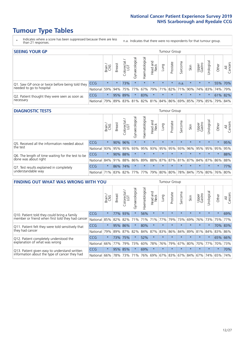- \* Indicates where a score has been suppressed because there are less than 21 responses.
- n.a. Indicates that there were no respondents for that tumour group.

| <b>SEEING YOUR GP</b>                           |            |         |               |                   |                    |                |                  |                       | Tumour Group |         |                                                 |                 |           |       |                |
|-------------------------------------------------|------------|---------|---------------|-------------------|--------------------|----------------|------------------|-----------------------|--------------|---------|-------------------------------------------------|-----------------|-----------|-------|----------------|
|                                                 |            | Brain   | <b>Breast</b> | Colorectal<br>LGT | ᠊ᢛ<br>Gynaecologic | Haematological | Head and<br>Neck | Lung                  | Prostate     | Sarcoma | Skin                                            | Upper<br>Gastro | Irologica | Other | All<br>Cancers |
| Q1. Saw GP once or twice before being told they | <b>CCG</b> | $\star$ | $\star$       | 73%               | $\star$            | $\star$        | $\star$          | $\star$               | $\star$      | n.a.    | $\star$                                         | $\star$         |           |       | 55% 70%        |
| needed to go to hospital                        | National   | 59%     |               | 94% 75%           | 77%                |                |                  | 67%   79%   71%   82% |              |         | 71% 90% 74% 83% 74% 79%                         |                 |           |       |                |
| Q2. Patient thought they were seen as soon as   | <b>CCG</b> | $\star$ |               | 95% 89%           |                    | 83%            | $\star$          | $\star$               | $\star$      | $\star$ | $\star$                                         | $\star$         | $\star$   |       | 61% 82%        |
| necessary                                       | National   | 79%     |               |                   |                    |                |                  |                       |              |         | 89% 83% 81% 82% 81% 84% 86% 69% 85% 79% 85% 79% |                 |           |       | 84%            |

### **DIAGNOSTIC TESTS** Tumour Group

|                                                   |                                          | Brain<br>CNS | <b>Breast</b> | olorectal.<br>LGT<br>Ũ | ᠊ᢛ<br>Gynaecologic | Haematological | Head and<br>Neck | Lung    | Prostate | Sarcoma | Skin    | Upper<br>Gastro | Irologica                                   | Other   | All<br>Cancers |
|---------------------------------------------------|------------------------------------------|--------------|---------------|------------------------|--------------------|----------------|------------------|---------|----------|---------|---------|-----------------|---------------------------------------------|---------|----------------|
| Q5. Received all the information needed about     | CCG                                      | $\star$      |               | 90% 96%                | $\star$            |                | $\star$          | $\star$ | $\star$  | $\star$ | $\star$ | $\star$         | $\star$                                     | $\star$ | 95%            |
| the test                                          | National                                 | 93%          | 95%           | 95%                    | 93%                | 95%            |                  | 93% 95% | 95%      | 93%     | 96%     | 95%             | 95%                                         | 95%     | 95%            |
| Q6. The length of time waiting for the test to be | <b>CCG</b>                               | $\star$      |               | 90% 88%                | $\star$            | $\star$        | $\star$          | $\star$ | $\star$  | $\star$ | $\star$ | $\star$         | $\star$                                     | $\star$ | 88%            |
| done was about right                              | National                                 |              | 84% 91%       | 88%                    |                    |                |                  |         |          |         |         |                 | 86% 89% 88% 87% 87% 81% 87% 84% 87% 86% 88% |         |                |
| Q7. Test results explained in completely          | <b>CCG</b>                               | $\star$      |               | 86% 74%                | $\star$            | $\star$        | $\star$          | $\star$ | $\star$  | $\star$ | $\star$ | $\star$         | $\star$                                     | $\star$ | 77%            |
| understandable way                                | National 71% 83% 82% 77% 77% 79% 80% 80% |              |               |                        |                    |                |                  |         |          |         |         |                 | 78% 84% 75% 80% 76% 80%                     |         |                |

| <b>FINDING OUT WHAT WAS WRONG WITH YOU</b>        |            |         |               |                 |                |                |                        |             | <b>Tumour Group</b> |         |         |                 |           |         |                |
|---------------------------------------------------|------------|---------|---------------|-----------------|----------------|----------------|------------------------|-------------|---------------------|---------|---------|-----------------|-----------|---------|----------------|
|                                                   |            | Brain   | <b>Breast</b> | ╮<br>Colorectal | Gynaecological | Haematological | ad and<br>Neck<br>Head | Lung        | Prostate            | Sarcoma | Skin    | Upper<br>Gastro | Jrologica | Other   | All<br>Cancers |
| Q10. Patient told they could bring a family       | <b>CCG</b> | $\star$ | 77%           | 93%             | $\star$        | 56%            | $\star$                | $\star$     | $\star$             | $\star$ | $\star$ | $\star$         | $\star$   | $\star$ | 69%            |
| member or friend when first told they had cancer  | National   | 85%     | 82%           | 82%             | 71%            | 71%            | 71%                    | 77%         | 79%                 | 73%     | 69%     | 76%             | 73%       | 75%     | 77%            |
| Q11. Patient felt they were told sensitively that | CCG        | $\star$ | 95%           | 86%             | $\star$        | 80%            | $\star$                | $\star$     | $\star$             | $\star$ | $\star$ | $\star$         | $\star$   |         | 70% 83%        |
| they had cancer                                   | National   | 79%     | 89%           | 87%             | 82%            | 84%            | 87%                    | 83%         | 86%                 | 84%     | 89%     | 81%             | 84%       |         | 83% 86%        |
| Q12. Patient completely understood the            | CCG        | $\star$ | 73%           | 175%            | $\star$        | 52%            | $\star$                | $\star$     | $\star$             |         | $\star$ | $\star$         | $\star$   | 65%     | 66%            |
| explanation of what was wrong                     | National   | 66%     | 77%           | 79%             | 73%            | 60%            | 78%                    | 76%         | 79%                 | 67%     | 80%     | 70%             | 77%       | 70%     | 73%            |
| Q13. Patient given easy to understand written     | <b>CCG</b> | $\star$ |               | 95% 85%         | $\star$        | 69%            | $\star$                | $\star$     | $\star$             | $\star$ | $\star$ | $\star$         | $\star$   | $\ast$  | 70%            |
| information about the type of cancer they had     | National   | 66%     |               | 78% 73%         | 71%            | 76%            |                        | 69% 67% 83% |                     |         | 67% 84% | 67%             | 74%       | 65%     | 74%            |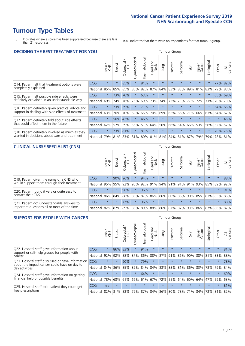\* Indicates where a score has been suppressed because there are less than 21 responses.

n.a. Indicates that there were no respondents for that tumour group.

| <b>DECIDING THE BEST TREATMENT FOR YOU</b>         |            |         |               |                        |                |                |                        |         | <b>Tumour Group</b> |                         |         |                 |            |         |                |
|----------------------------------------------------|------------|---------|---------------|------------------------|----------------|----------------|------------------------|---------|---------------------|-------------------------|---------|-----------------|------------|---------|----------------|
|                                                    |            | Brain   | <b>Breast</b> | olorectal.<br>LGT<br>Ū | Gynaecological | Haematological | ad and<br>Neck<br>Head | Lung    | Prostate            | Sarcoma                 | Skin    | Upper<br>Gastro | Jrological | Other   | All<br>Cancers |
| Q14. Patient felt that treatment options were      | CCG        | $\star$ | $\star$       | 85%                    | $\star$        | 81%            | $\star$                | $\star$ | $\star$             | $\star$                 | $\star$ | $\star$         | $\star$    | 77%     | 82%            |
| completely explained                               | National   | 85%     | 85%           | 85%                    | 85%            | 82%            | 87%                    | 84%     | 83%                 | 83%                     | 89%     | 81%             | 83%        |         | 79% 83%        |
| Q15. Patient felt possible side effects were       | <b>CCG</b> | $\star$ | 73%           | 70%                    | $\star$        | 63%            | $\star$                | $\star$ | $\star$             | $\star$                 | $\star$ | $\star$         | $\star$    |         | 65% 69%        |
| definitely explained in an understandable way      | National   | 69%     | 74%           | 76%                    | 75%            | 69%            | 73%                    | 74%     | 73%                 | 73%                     | 77%     | 72%             | 71%        | 70%     | 73%            |
| Q16. Patient definitely given practical advice and | CCG        | $\star$ | 73%           | 69%                    |                | 71%            | $\star$                | $\star$ | $\star$             | $\star$                 | $\star$ | $\star$         | $\star$    | 64%     | 65%            |
| support in dealing with side effects of treatment  | National   | 63%     | 70%           | 70%                    | 69%            | 65%            | 70%                    | 69%     | 65%                 | 66%                     | 71%     | 66%             | 63%        | 64%     | 67%            |
| Q17. Patient definitely told about side effects    | CCG        | $\star$ | 50%           | 42%                    | $\star$        | 46%            | $\star$                | $\star$ | $\star$             | $\star$                 | $\star$ | $\star$         | $\star$    | $\star$ | 45%            |
| that could affect them in the future               | National   | 62%     | 57%           | 59%                    | 56%            | 51%            | 64%                    | 56%     | 66%                 | 54%                     | 66%     | 53%             | 56%        | 52%     | 57%            |
| Q18. Patient definitely involved as much as they   | CCG        | $\star$ |               | 73% 81%                | $\star$        | 81%            | $\star$                | $\star$ | $\star$             | $\star$                 | $\star$ | $\star$         | $^\star$   |         | 70% 75%        |
| wanted in decisions about care and treatment       | National   | 79%     |               |                        | 81% 83% 81%    |                |                        |         |                     | 80% 81% 81% 84% 81% 87% |         | 79%             | 79%        | 78% 81% |                |

#### **CLINICAL NURSE SPECIALIST (CNS)** Tumour Group

|                                                            |            | Brain    | <b>Breast</b> | Colorectal<br>LGT | $\sigma$<br>Gynaecologic | Haematological | Head and<br>Neck | Lung    | Prostate | Sarcoma | Skin                        | Upper<br>Gastro | rological                                   | Other   | All<br>Cancers |
|------------------------------------------------------------|------------|----------|---------------|-------------------|--------------------------|----------------|------------------|---------|----------|---------|-----------------------------|-----------------|---------------------------------------------|---------|----------------|
| Q19. Patient given the name of a CNS who                   | <b>CCG</b> | $\star$  |               | 90% 96%           |                          | 94%            | $\star$          | $\star$ | $\star$  | $\star$ | $\star$                     | $\star$         | $\star$                                     | $\star$ | 88%            |
| would support them through their treatment                 | National   | 95%      | 95%           | 92%               | 95%                      | $ 92\% 91\% $  |                  | 94% 91% |          | 91%     | 91%                         | 93%             | 85% 89%                                     |         | 92%            |
| Q20. Patient found it very or quite easy to                | CCG        | $\star$  | $\star$       | 96%               | $\star$                  | 96%            | $\star$          | $\star$ | $\star$  | $\star$ | $\star$                     | $\star$         | $\star$                                     | $\star$ | 91%            |
| contact their CNS                                          | National   | 86%      |               | 84% 88% 85%       |                          |                |                  |         |          |         | 87% 86% 86% 80% 86% 90% 85% |                 | 83% 83%                                     |         | 85%            |
| . Patient got understandable answers to<br>O <sub>21</sub> | <b>CCG</b> | $\star$  | $\star$       | 77%               |                          | 96%            | $\star$          | $\star$ | $\star$  | $\star$ | $\star$                     | $\star$         | $\star$                                     | $\star$ | 88%            |
| important questions all or most of the time                | National   | $ 82\% $ | $ 87\% $      | 89%               |                          |                |                  |         |          |         |                             |                 | 86% 89% 88% 86% 87% 87% 93% 86% 87% 86% 87% |         |                |

| <b>SUPPORT FOR PEOPLE WITH CANCER</b>                                                             |            |         |               |                        |                |                |                        |             | <b>Tumour Group</b> |         |         |                 |           |         |                |
|---------------------------------------------------------------------------------------------------|------------|---------|---------------|------------------------|----------------|----------------|------------------------|-------------|---------------------|---------|---------|-----------------|-----------|---------|----------------|
|                                                                                                   |            | Brain   | <b>Breast</b> | olorectal.<br>LGT<br>Ũ | Gynaecological | Haematological | ad and<br>Neck<br>Head | Lung        | Prostate            | Sarcoma | Skin    | Upper<br>Gastro | Jrologica | Other   | All<br>Cancers |
| Q22. Hospital staff gave information about<br>support or self-help groups for people with         | <b>CCG</b> | $\star$ | 86%           | 83%                    | $\star$        | 91%            | $\star$                | $\star$     | $\star$             | $\star$ | $\star$ | $\star$         | $\star$   | $\star$ | 81%            |
| cancer                                                                                            | National   | 92%     | 92%           | 88%                    | 87%            | 86%            | 88%                    | 87%         | 91%                 | 86%     | 90%     | 88%             | 81%       | 83%     | 88%            |
| Q23. Hospital staff discussed or gave information<br>about the impact cancer could have on day to | CCG        | $\star$ | $\star$       | 90%                    | $\star$        | 79%            | $\star$                | $\star$     | $\star$             | $\star$ |         | $\star$         | $\star$   | $\star$ | 78%            |
| day activities                                                                                    | National   | 84%     | 86%           | 85%                    | 82%            | 84%            | 84%                    | 83%         | 88%                 | 81%     | 86%     | 83%             | 78%       | 79%     | 84%            |
| Q24. Hospital staff gave information on getting                                                   | CCG        | $\star$ | $\star$       | $\star$                | $\star$        | 64%            | $\ast$                 | $\star$     | $\star$             | $\star$ |         | $\star$         | $\star$   | $\star$ | 60%            |
| financial help or possible benefits                                                               | National   | 78%     | 68%           | 61%                    | 66%            | 61%            | 67%                    | 72%         | 55%                 | 64%     | 60%     | 64%             | 47%       | 59%     | 63%            |
| Q25. Hospital staff told patient they could get                                                   | <b>CCG</b> | n.a.    | $\star$       | $\star$                | $\star$        | $\star$        | $\star$                | $\star$     | $\star$             | $\star$ | $\star$ | $\star$         | $\star$   | $\ast$  | 81%            |
| free prescriptions                                                                                | National I | 82%     |               | 81% 83%                | 79%            | 87%            |                        | 84% 86% 80% |                     | 78%     | 71%     | $84\%$          |           | 73% 81% | 82%            |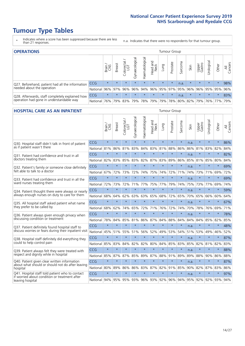- \* Indicates where a score has been suppressed because there are less than 21 responses.
- n.a. Indicates that there were no respondents for that tumour group.

| <b>OPERATIONS</b>                                |            |              |               |            |                   |               |                                                           |             | <b>Tumour Group</b> |         |         |                 |            |         |                |
|--------------------------------------------------|------------|--------------|---------------|------------|-------------------|---------------|-----------------------------------------------------------|-------------|---------------------|---------|---------|-----------------|------------|---------|----------------|
|                                                  |            | Brain<br>CNS | <b>Breast</b> | Colorectal | ল<br>Gynaecologic | Haematologica | Head and<br>Neck                                          | Lung        | Prostate            | Sarcoma | Skin    | Upper<br>Gastro | Urological | Other   | All<br>Cancers |
| Q27. Beforehand, patient had all the information | <b>CCG</b> | $\star$      | $\star$       | $\star$    | $\star$           | $\star$       | $\star$                                                   | $\star$     | $\star$             | n.a.    | $\star$ | $\star$         | $\star$    | $\star$ | 98%            |
| needed about the operation                       | National   | 96%          | 97%           | 96%        | 96%               | 94%           |                                                           | 96% 95% 97% |                     |         | 95% 96% | 96%             | 95%        | 95%     | 96%            |
| Q28. Afterwards, staff completely explained how  | <b>CCG</b> | $\star$      | $\star$       | $\star$    | $\star$           | $\star$       | $\star$                                                   | $\star$     | $\star$             | n.a.    | $\star$ | $\star$         | $\star$    | $\star$ | 83%            |
| operation had gone in understandable way         | National   | 76%          |               | 79% 83%    |                   |               | 79%   78%   79%   79%   78%   80%   82%   79%   76%   77% |             |                     |         |         |                 |            |         | 79%            |

# **HOSPITAL CARE AS AN INPATIENT** Tumour Group

|                                                                   |                  | Brain   | Breast  | $Color et al /$<br>LGT | Gynaecological | Haematological      | Head and<br>Neck | Lung    | Prostate        | Sarcoma | Skin | Upper<br>Gastro | Urological  | Other   | All<br>Cancers |
|-------------------------------------------------------------------|------------------|---------|---------|------------------------|----------------|---------------------|------------------|---------|-----------------|---------|------|-----------------|-------------|---------|----------------|
| Q30. Hospital staff didn't talk in front of patient               | CCG              | $\star$ | $\star$ | $\star$                | $\star$        | $\star$             | $\star$          | $\star$ | $\star$         | $\star$ | n.a. | $\star$         | $\star$     | $\star$ | 86%            |
| as if patient wasn't there                                        | National         | 81%     | 86%     | 81%                    | 83%            | 84%                 |                  | 83% 81% | 88%             | 86%     |      |                 | 86% 81% 83% | 82%     | 84%            |
| 031. Patient had confidence and trust in all                      | CCG              | $\star$ | $\star$ | $\star$                | $\star$        | $\star$             | $\star$          | $\star$ | $\star$         | $\star$ | n.a. | $\star$         | $\star$     | $\star$ | 82%            |
| doctors treating them                                             | National         | 82%     | 83%     | 85%                    | 83%            | 82%                 |                  | 87% 83% | 89%             | 86%     | 85%  | 81%             | 85%         | 80%     | 84%            |
| Q32. Patient's family or someone close definitely                 | CCG              | $\star$ | $\star$ | $\star$                | $\star$        | $\star$             | $\star$          | $\star$ | $\star$         | $\star$ | n.a. |                 | $\star$     | $\star$ | 69%            |
| felt able to talk to a doctor                                     | National         | 67%     | 72%     | 73%                    | 72%            | 74%                 | 75%              | 74%     | 72%             | 71%     | 74%  | 73%             | 71%         | 69%     | 72%            |
| Q33. Patient had confidence and trust in all the                  | CCG              | $\star$ | $\star$ | $\star$                | $\star$        | $\star$             | $\star$          | $\star$ | $\star$         | $\star$ | n.a. | $\star$         | $\star$     | $\star$ | 69%            |
| ward nurses treating them                                         | National         | 72%     | 73%     | 72%                    | 71%            | 77%                 | 75%              | 77%     | 79%             | 74%     | 75%  | 73%             | 77%         | 69%     | 74%            |
| Q34. Patient thought there were always or nearly                  | CCG              | $\star$ | $\star$ | $\star$                | $\star$        | $\star$             | $\star$          | $\star$ | $\star$         | $\star$ | n.a. |                 | $\star$     | $\star$ | 59%            |
| always enough nurses on duty to care for them                     | National         | 68%     | 64%     | 62%                    | 63%            | 63%                 | 65% 68%          |         | 72%             | 65%     | 70%  | 65%             | 66%         | 60%     | 64%            |
| Q35. All hospital staff asked patient what name                   | CCG              | $\star$ | $\star$ | $\star$                | $\star$        | $\star$             | $\star$          | $\star$ | $\star$         | $\star$ | n.a. |                 | $\star$     | $\star$ | 67%            |
| they prefer to be called by                                       | National         | 68%     | 62%     | 74%                    | 65%            | 72%                 |                  | 71% 76% | 72%             | 74%     | 70%  | 78%             | 76%         | 69%     | 71%            |
| Q36. Patient always given enough privacy when                     | CCG              | $\star$ | $\star$ | $\star$                | $\star$        | $\star$             | $\star$          | $\star$ | $\star$         | $\star$ | n.a. | $\star$         | $\star$     | $\star$ | 78%            |
| discussing condition or treatment                                 | National         | 78%     | 84%     | 85%                    | 81%            |                     | 86% 87% 84%      |         | 88%             | 84%     | 84%  | 84%             | 85%         | 82%     | 85%            |
| Q37. Patient definitely found hospital staff to                   | <b>CCG</b>       | $\star$ | $\star$ | $\star$                | $\star$        | $\star$             | $\star$          | $\star$ | $\star$         | $\star$ | n.a. | ÷               | $\star$     | $\star$ | 48%            |
| discuss worries or fears during their inpatient visit             | National         | 45%     | 51%     | 55%                    | 51%            | 56%                 | 52%              | 49%     | 53%             | 54%     | 51%  | 53%             | 49%         | 46%     | 52%            |
| Q38. Hospital staff definitely did everything they                | CCG              | $\star$ | $\star$ | $\star$                | $\star$        | $\star$             | $\star$          | $\star$ | $\star$         | $\star$ | n.a. | $\star$         | $\star$     | $\star$ | 87%            |
| could to help control pain                                        | National         | 85%     | 83%     | 84%                    | 82%            | 82%                 | 80%              | 84%     | 85%             | 83%     | 85%  | 82%             | 81%         | 82%     | 83%            |
| Q39. Patient always felt they were treated with                   | CCG              | $\star$ | $\star$ | $\star$                | $\star$        | $\star$             | $\star$          | $\star$ | $\star$         | $\star$ | n.a. | $\star$         | $\star$     | $\star$ | 88%            |
| respect and dignity while in hospital                             | National         | 85%     | 87%     | 87%                    | 85%            | 89%                 |                  | 87% 88% | 91%             | 89%     | 89%  | 88%             | 90%         | 86%     | 88%            |
| Q40. Patient given clear written information                      | <b>CCG</b>       | $\star$ | $\star$ | $\star$                | $\star$        | $\star$             | $\star$          | $\star$ | $\star$         | $\star$ | n.a. | $\star$         | $\star$     | $\star$ | 87%            |
| about what should or should not do after leaving<br>hospital      | National         | 80%     | 89%     |                        |                | 86% 86% 83% 87% 82% |                  |         | 91%             | 85%     | 90%  |                 | 82% 87%     | 83%     | 86%            |
| Q41. Hospital staff told patient who to contact                   | CCG              | $\star$ | $\star$ | $\star$                | $\star$        | $\star$             | $\star$          | $\star$ | $\star$         | $\star$ | n.a. |                 | $\star$     | $\star$ | 97%            |
| if worried about condition or treatment after<br>leaving hospital | National 94% 95% |         |         |                        |                | 95% 93% 96%         |                  |         | 93% 92% 96% 94% |         | 95%  | 92%             | 92%         | 93%     | 94%            |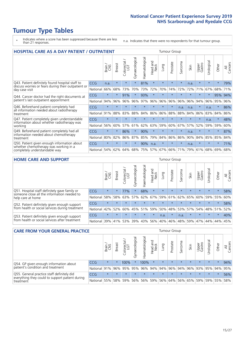- \* Indicates where a score has been suppressed because there are less than 21 responses.
- n.a. Indicates that there were no respondents for that tumour group.

| <b>HOSPITAL CARE AS A DAY PATIENT / OUTPATIENT</b><br><b>Tumour Group</b>                  |            |         |               |                       |                |                |                         |         |          |         |         |                 |            |         |                |
|--------------------------------------------------------------------------------------------|------------|---------|---------------|-----------------------|----------------|----------------|-------------------------|---------|----------|---------|---------|-----------------|------------|---------|----------------|
|                                                                                            |            | Brain   | <b>Breast</b> | olorectal<br>LGT<br>Ū | Gynaecological | Haematological | ead and<br>Neck<br>Head | Lung    | Prostate | Sarcoma | Skin    | Upper<br>Gastro | Urological | Other   | All<br>Cancers |
| Q43. Patient definitely found hospital staff to                                            | CCG        | n.a.    | $\star$       | $\star$               | $\star$        | 81%            | $\star$                 | $\star$ | $\star$  | $\star$ | n.a.    | $\star$         | $\star$    | $\star$ | 79%            |
| discuss worries or fears during their outpatient or<br>day case visit                      | National   | 66%     | 68%           | 73%                   | 70%            | 73%            | 72%                     | 70%     | 74%      | 72%     | 72%     | 71%             | 67%        | 68%     | 71%            |
| Q44. Cancer doctor had the right documents at                                              | <b>CCG</b> | $\star$ | $\star$       | 91%                   | $\star$        | 93%            | $\star$                 | $\star$ | $\star$  | $\star$ |         |                 | $\star$    | 95%     | 94%            |
| patient's last outpatient appointment                                                      | National   | 94%     | 96%           | 96%                   | 96%            | 97%            | 96%                     | 96%     | 96%      | 96%     | 96%     | 94%             | 96%        | 95%     | 96%            |
| Q46. Beforehand patient completely had<br>all information needed about radiotherapy        | CCG        | $\star$ | $\star$       | $\star$               |                |                | $\star$                 | $\star$ | $\star$  | n.a.    | n.a.    | $\star$         | n.a.       | $\star$ | 86%            |
| treatment                                                                                  | National   | 91%     | 88%           | 83%                   | 88%            | 84%            | 86%                     | 86%     | 88%      | 88%     | 84%     | 86%             | 83%        | 84%     | 86%            |
| Q47. Patient completely given understandable<br>information about whether radiotherapy was | CCG        | $\star$ | $\star$       | $\star$               |                |                | $\star$                 | ÷       | $\star$  | ÷       | $\star$ | $\star$         | n.a.       | $\star$ | 48%            |
| working                                                                                    | National   | 56%     | 60%           | 57%                   | 61%            | 62%            | 63%                     | 59%     | 60%      | 67%     | 57%     | 52%             | 59%        | 59%     | 60%            |
| Q49. Beforehand patient completely had all                                                 | CCG        | $\star$ | $\star$       | 86%                   | $\star$        | 90%            | $\star$                 | $\star$ | $\star$  | $\star$ | n.a.    | $\star$         | ¥          | $\ast$  | 87%            |
| information needed about chemotherapy<br>treatment                                         | National   | 80%     | 82%           | 86%                   | 87%            | 85%            | 79%                     | 84%     | 86%      | 86%     | 90%     | 84%             | 85%        | 85%     | 84%            |
| Q50. Patient given enough information about                                                | <b>CCG</b> | $\star$ | $\star$       |                       |                | 90%            | n.a.                    | $\star$ | $\star$  | $\star$ | n.a.    | $\star$         |            | $\star$ | 71%            |
| whether chemotherapy was working in a<br>completely understandable way                     | National   | 54%     | 62%           | 64%                   | 68%            | 75%            |                         | 57% 67% | 66%      | 71%     | 79%     | 61%             | 68%        | 69%     | 68%            |

### **HOME CARE AND SUPPORT** Tumour Group

|                                                                                                                   |            | Brain   | Breast  | Colorectal<br>LGT | ᢛ<br>Gynaecologic | Haematological | Head and<br>Neck | <b>Dung</b> | Prostate | Sarcoma | Skin    | Upper<br>Gastro | rologica | Other   | All<br>Cancers |
|-------------------------------------------------------------------------------------------------------------------|------------|---------|---------|-------------------|-------------------|----------------|------------------|-------------|----------|---------|---------|-----------------|----------|---------|----------------|
| Q51. Hospital staff definitely gave family or<br>someone close all the information needed to<br>help care at home | <b>CCG</b> | $\star$ | $\star$ | 77%               |                   | 68%            | $\star$          | $\star$     | $\star$  | $\star$ | $\star$ | $\star$         | $\star$  | $\star$ | 58%            |
|                                                                                                                   | National   | 58%     | 58%     | 63%               | 57%               | 62%            | 67%              |             | 59% 61%  |         | 62% 65% | 60%             | 59% 55%  |         | 60%            |
| Q52. Patient definitely given enough support<br>from health or social services during treatment                   | <b>CCG</b> | $\star$ |         |                   |                   |                | $\star$          | $\star$     | $\star$  |         |         | $\star$         | $\star$  | $\star$ | 58%            |
|                                                                                                                   | National   | 42%     | 52%     | 60%               |                   | 45% 51%        | 59%              | 50%         | 48%      |         | 53% 57% | 54%             | 48% 51%  |         | 52%            |
| Q53. Patient definitely given enough support<br>from health or social services after treatment                    | <b>CCG</b> | $\star$ | $\star$ | $\star$           | $\star$           | $\star$        | $\star$          | n.a.        | $\star$  | n.a.    | $\star$ | $\star$         | $\star$  | $\star$ | 40%            |
|                                                                                                                   | National   | 39%     | 41% 53% |                   | 39%               | $ 43\% $       | 56%              | 40%         | 46%      | 48%     | 59%     | 47%             | 44%      | 44%     | 45%            |

| <b>CARE FROM YOUR GENERAL PRACTICE</b>                                      |            |         |               |                   |                |                  |                  | Tumour Group |                         |         |         |                 |            |                             |                |
|-----------------------------------------------------------------------------|------------|---------|---------------|-------------------|----------------|------------------|------------------|--------------|-------------------------|---------|---------|-----------------|------------|-----------------------------|----------------|
|                                                                             |            | Brain   | <b>Breast</b> | Colorectal<br>LGT | Gynaecological | ক<br>aematologic | Head and<br>Neck | Lung         | Prostate                | Sarcoma | Skin    | Upper<br>Gastro | Jrological | Other                       | All<br>Cancers |
| Q54. GP given enough information about<br>patient's condition and treatment | <b>CCG</b> | $\star$ | 大             | 100%              |                | 100%             | $\ast$           | $\star$      | $\star$                 | $\star$ | $\star$ | $\star$         | $\star$    | $\star$                     | 94%            |
|                                                                             | National   | 91%     |               | 96% 95%           | 95%            |                  |                  |              | 96% 94% 94% 96% 94% 96% |         |         |                 |            | 93% 95% 94%                 | 95%            |
| Q55. General practice staff definitely did                                  | <b>CCG</b> | $\star$ | $\star$       | $\star$           | $\star$        | $\star$          | $\star$          | $\star$      | $\star$                 | $\star$ | $\star$ | $\star$         | $\star$    | $\star$                     | 56%            |
| everything they could to support patient during<br>treatment                | National   | 55%     |               | 58% 59%           | 56%            |                  |                  |              | 56% 59% 56% 64%         |         |         |                 |            | 56%   65%   59%   59%   55% | 58%            |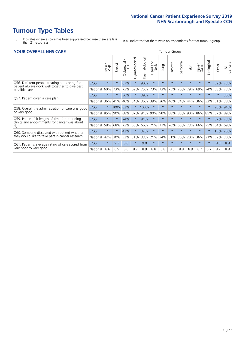- \* Indicates where a score has been suppressed because there are less than 21 responses.
- n.a. Indicates that there were no respondents for that tumour group.

| <b>YOUR OVERALL NHS CARE</b> |  |  |  |  |
|------------------------------|--|--|--|--|
|------------------------------|--|--|--|--|

| <b>YOUR OVERALL NHS CARE</b>                                    |            |              |               |                    |                |                |                         |         | <b>Tumour Group</b> |         |         |                 |                         |         |                |  |  |
|-----------------------------------------------------------------|------------|--------------|---------------|--------------------|----------------|----------------|-------------------------|---------|---------------------|---------|---------|-----------------|-------------------------|---------|----------------|--|--|
|                                                                 |            | Brain<br>CNS | <b>Breast</b> | Colorectal.<br>LGT | Gynaecological | Haematological | ead and<br>Neck<br>Head | Dung    | Prostate            | Sarcoma | Skin    | Upper<br>Gastro | Irological<br>$\supset$ | Other   | All<br>Cancers |  |  |
| Q56. Different people treating and caring for                   | <b>CCG</b> | $\star$      | $\star$       | 67%                | $\star$        | 90%            | $\star$                 | $\star$ | $\star$             | $\star$ | $\star$ | $\star$         | $\star$                 | 52%     | 73%            |  |  |
| patient always work well together to give best<br>possible care | National   | 60%          | 73%           | 73%                | 69%            | 75%            | 73%                     | 73%     | 75%                 | 70%     | 79%     | 69%             | 74%                     | 68%     | 73%            |  |  |
|                                                                 | CCG        | $\star$      | $\star$       | 36%                |                | 39%            | $\star$                 | $\star$ | $\star$             | $\star$ | $\star$ | $\star$         |                         | $\star$ | 35%            |  |  |
| Q57. Patient given a care plan                                  | National   | 36%          | 41%           | 40%                | 34%            | 36%            | 39%                     | 36%     | 40%                 | 34%     | 44%     | 36%             | 33%                     | 31%     | 38%            |  |  |
| Q58. Overall the administration of care was good                | <b>CCG</b> | $\star$      | 100% 82%      |                    |                | 100%           | $\star$                 | $\star$ | $\star$             | $\star$ | $\star$ | $\star$         | $\star$                 | 96%     | 94%            |  |  |
| or very good                                                    | National   | 85%          | 90%           | 88%                | 87%            | 91%            | 90%                     | 90%     | 88%                 | 88%     | 90%     | 86%             | 85%                     | 87%     | 89%            |  |  |
| Q59. Patient felt length of time for attending                  | CCG        | $\star$      | $\star$       | 74%                | $\star$        | 81%            | $\star$                 | $\star$ | $\star$             | $\star$ | $\star$ |                 |                         | 67%     | 73%            |  |  |
| clinics and appointments for cancer was about<br>right          | National   | 58%          | 68%           | 73%                | 66%            | 66%            | 71%                     | 71%     | 76%                 | 68%     | 73%     | 66%             | 75%                     | 64%     | 69%            |  |  |
| Q60. Someone discussed with patient whether                     | <b>CCG</b> | $\star$      | $\star$       | 42%                |                | 32%            | $\ast$                  | $\star$ | $\star$             | $\star$ | $\star$ | $\star$         |                         | 13%     | 25%            |  |  |
| they would like to take part in cancer research                 | National   | 42%          | 30%           | 32%                | 31%            | 33%            | 21%                     | 34%     | 31%                 | 36%     | 20%     | 36%             | 21%                     | 32%     | 30%            |  |  |
| Q61. Patient's average rating of care scored from               | <b>CCG</b> | $\star$      | 9.3           | 8.6                | $\star$        | 9.0            | $\ast$                  | $\star$ | $\star$             | $\star$ | $\star$ | $\star$         | $\star$                 | 8.3     | 8.8            |  |  |
| very poor to very good                                          | National   | 8.6          | 8.9           | 8.8                | 8.7            | 8.9            | 8.8                     | 8.8     | 8.8                 | 8.8     | 8.9     | 8.7             | 8.7                     | 8.7     | 8.8            |  |  |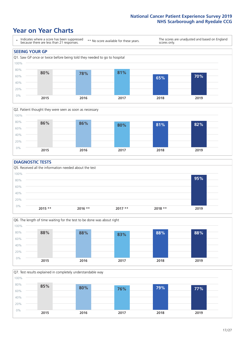### **Year on Year Charts**





#### **DIAGNOSTIC TESTS**





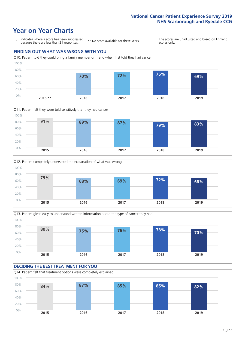







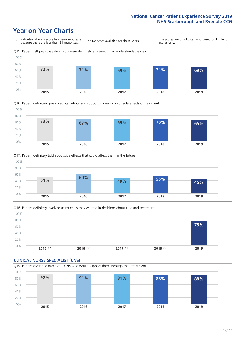





Q18. Patient definitely involved as much as they wanted in decisions about care and treatment  $0%$ 20% 40% 60% 80% 100% **2015 \*\* 2016 \*\* 2017 \*\* 2018 \*\* 2019 75%**

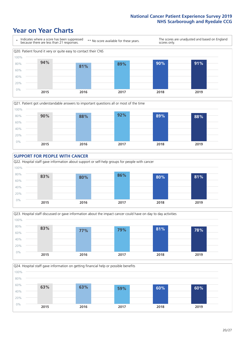







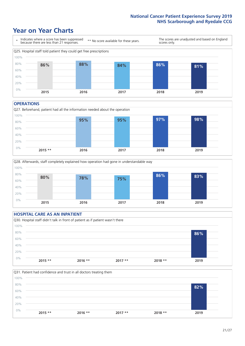### **Year on Year Charts**



#### **OPERATIONS**

Q27. Beforehand, patient had all the information needed about the operation  $0%$ 20% 40% 60% 80% 100% **2015 \*\* 2016 2017 2018 2019 95% 95% 97% 98%**





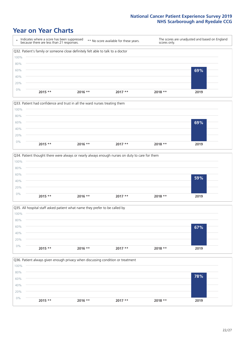







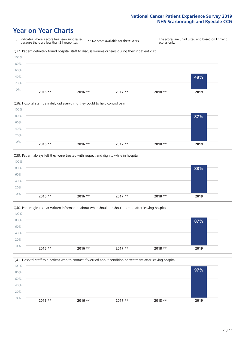







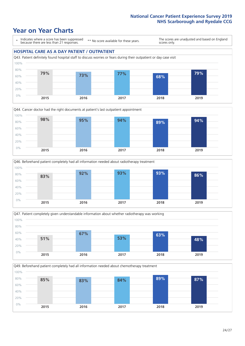### **Year on Year Charts**

\* Indicates where a score has been suppressed because there are less than 21 responses.

\*\* No score available for these years.

The scores are unadjusted and based on England scores only.

### **HOSPITAL CARE AS A DAY PATIENT / OUTPATIENT**









Q49. Beforehand patient completely had all information needed about chemotherapy treatment

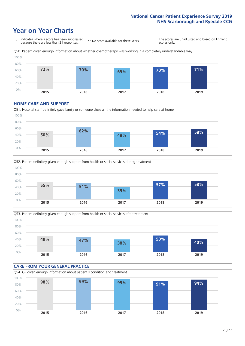## **Year on Year Charts**



#### **HOME CARE AND SUPPORT**







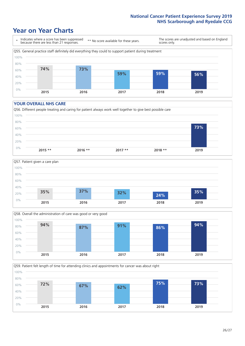### **Year on Year Charts**

\* Indicates where a score has been suppressed because there are less than 21 responses. \*\* No score available for these years. The scores are unadjusted and based on England scores only. Q55. General practice staff definitely did everything they could to support patient during treatment 0% 20% 40% 60% 80% 100% **2015 2016 2017 2018 2019 74% 73% 59% 59% 56%**

#### **YOUR OVERALL NHS CARE**







Q59. Patient felt length of time for attending clinics and appointments for cancer was about right 0% 20% 40% 60% 80% 100% **2015 2016 2017 2018 2019 72% 67% 62% 75% 73%**